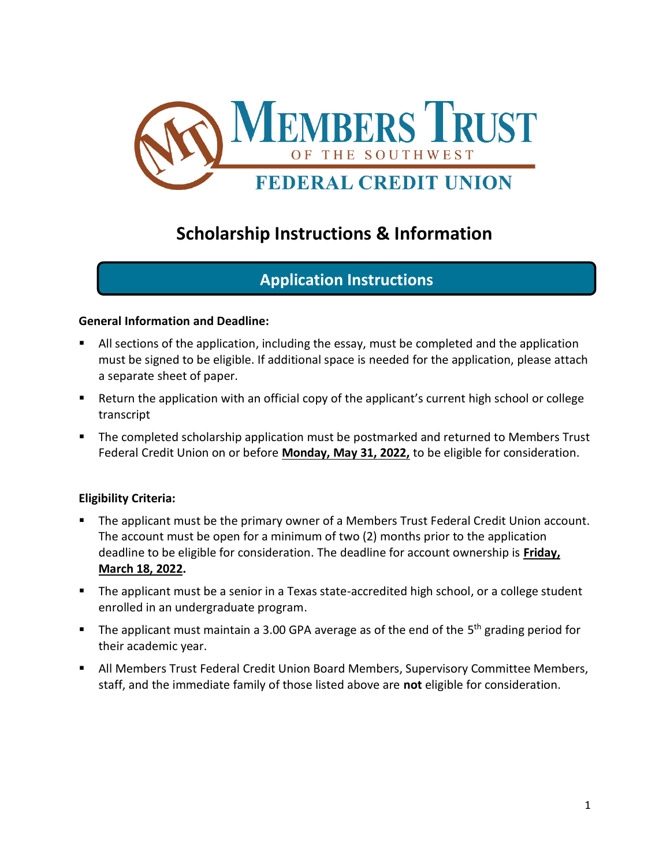

## **Scholarship Instructions & Information**

### **Application Instructions**

#### **General Information and Deadline:**

- All sections of the application, including the essay, must be completed and the application must be signed to be eligible. If additional space is needed for the application, please attach a separate sheet of paper.
- Return the application with an official copy of the applicant's current high school or college transcript
- The completed scholarship application must be postmarked and returned to Members Trust Federal Credit Union on or before **Monday, May 31, 2022,** to be eligible for consideration.

#### **Eligibility Criteria:**

- The applicant must be the primary owner of a Members Trust Federal Credit Union account. The account must be open for a minimum of two (2) months prior to the application deadline to be eligible for consideration. The deadline for account ownership is **Friday, March 18, 2022.**
- The applicant must be a senior in a Texas state-accredited high school, or a college student enrolled in an undergraduate program.
- The applicant must maintain a 3.00 GPA average as of the end of the 5<sup>th</sup> grading period for their academic year.
- **E** All Members Trust Federal Credit Union Board Members, Supervisory Committee Members, staff, and the immediate family of those listed above are **not** eligible for consideration.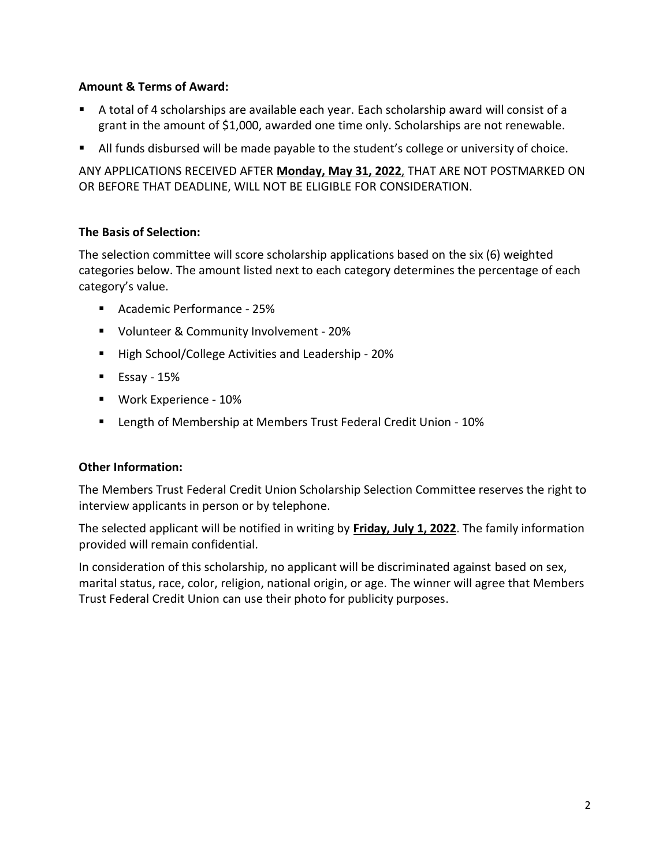#### **Amount & Terms of Award:**

- A total of 4 scholarships are available each year. Each scholarship award will consist of a grant in the amount of \$1,000, awarded one time only. Scholarships are not renewable.
- All funds disbursed will be made payable to the student's college or university of choice.

ANY APPLICATIONS RECEIVED AFTER **Monday, May 31, 2022**, THAT ARE NOT POSTMARKED ON OR BEFORE THAT DEADLINE, WILL NOT BE ELIGIBLE FOR CONSIDERATION.

#### **The Basis of Selection:**

The selection committee will score scholarship applications based on the six (6) weighted categories below. The amount listed next to each category determines the percentage of each category's value.

- Academic Performance 25%
- Volunteer & Community Involvement 20%
- High School/College Activities and Leadership 20%
- $\blacksquare$  Essay 15%
- Work Experience 10%
- Length of Membership at Members Trust Federal Credit Union 10%

#### **Other Information:**

The Members Trust Federal Credit Union Scholarship Selection Committee reserves the right to interview applicants in person or by telephone.

The selected applicant will be notified in writing by **Friday, July 1, 2022**. The family information provided will remain confidential.

In consideration of this scholarship, no applicant will be discriminated against based on sex, marital status, race, color, religion, national origin, or age. The winner will agree that Members Trust Federal Credit Union can use their photo for publicity purposes.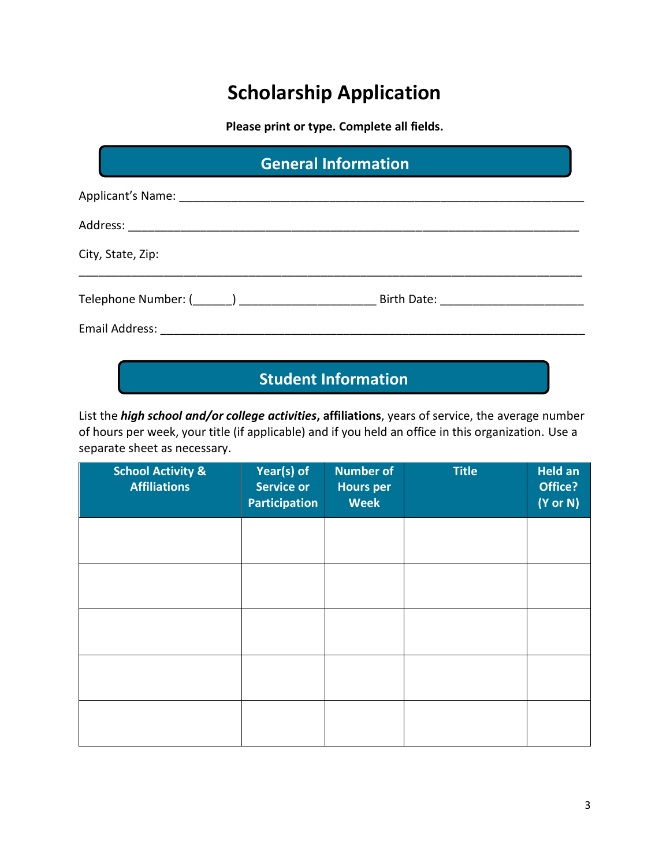# **Scholarship Application**

**Please print or type. Complete all fields.**

| <b>General Information</b> |  |  |  |
|----------------------------|--|--|--|
|                            |  |  |  |
|                            |  |  |  |
| City, State, Zip:          |  |  |  |
|                            |  |  |  |
|                            |  |  |  |

## **Student Information**

List the *high school and/or college activities***, affiliations**, years of service, the average number of hours per week, your title (if applicable) and if you held an office in this organization. Use a separate sheet as necessary.

| <b>School Activity &amp;</b><br><b>Affiliations</b> | Year(s) of<br><b>Service or</b><br><b>Participation</b> | <b>Number of</b><br><b>Hours per</b><br><b>Week</b> | <b>Title</b> | <b>Held an</b><br>Office?<br>$(Y \text{ or } N)$ |
|-----------------------------------------------------|---------------------------------------------------------|-----------------------------------------------------|--------------|--------------------------------------------------|
|                                                     |                                                         |                                                     |              |                                                  |
|                                                     |                                                         |                                                     |              |                                                  |
|                                                     |                                                         |                                                     |              |                                                  |
|                                                     |                                                         |                                                     |              |                                                  |
|                                                     |                                                         |                                                     |              |                                                  |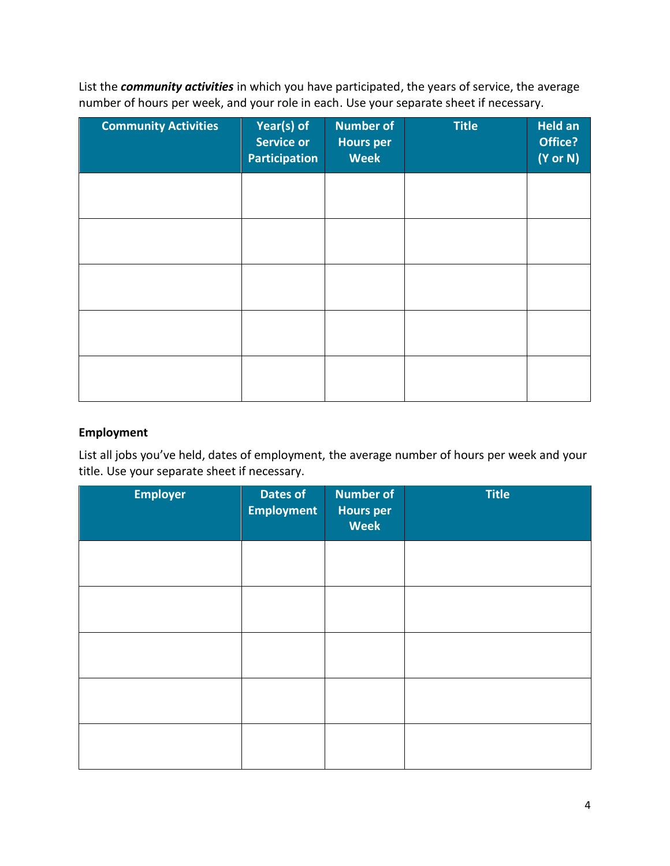List the *community activities* in which you have participated, the years of service, the average number of hours per week, and your role in each. Use your separate sheet if necessary.

| <b>Community Activities</b> | Year(s) of<br><b>Service or</b><br><b>Participation</b> | <b>Number of</b><br><b>Hours per</b><br><b>Week</b> | <b>Title</b> | <b>Held an</b><br>Office?<br>$(Y \text{ or } N)$ |
|-----------------------------|---------------------------------------------------------|-----------------------------------------------------|--------------|--------------------------------------------------|
|                             |                                                         |                                                     |              |                                                  |
|                             |                                                         |                                                     |              |                                                  |
|                             |                                                         |                                                     |              |                                                  |
|                             |                                                         |                                                     |              |                                                  |
|                             |                                                         |                                                     |              |                                                  |

#### **Employment**

List all jobs you've held, dates of employment, the average number of hours per week and your title. Use your separate sheet if necessary.

| <b>Employer</b> | <b>Dates of</b><br><b>Employment</b> | <b>Number of</b><br><b>Hours per</b><br><b>Week</b> | <b>Title</b> |
|-----------------|--------------------------------------|-----------------------------------------------------|--------------|
|                 |                                      |                                                     |              |
|                 |                                      |                                                     |              |
|                 |                                      |                                                     |              |
|                 |                                      |                                                     |              |
|                 |                                      |                                                     |              |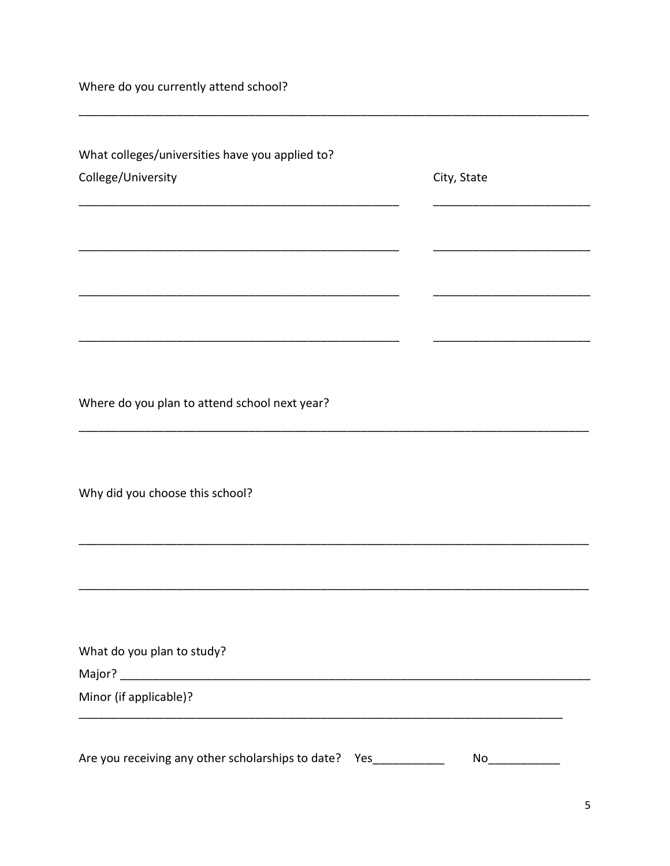Where do you currently attend school?

| What colleges/universities have you applied to?          |             |
|----------------------------------------------------------|-------------|
| College/University                                       | City, State |
|                                                          |             |
|                                                          |             |
|                                                          |             |
|                                                          |             |
|                                                          |             |
| Where do you plan to attend school next year?            |             |
|                                                          |             |
| Why did you choose this school?                          |             |
|                                                          |             |
|                                                          |             |
| What do you plan to study?                               |             |
|                                                          |             |
| Minor (if applicable)?                                   |             |
|                                                          |             |
| Are you receiving any other scholarships to date?<br>Yes | No          |